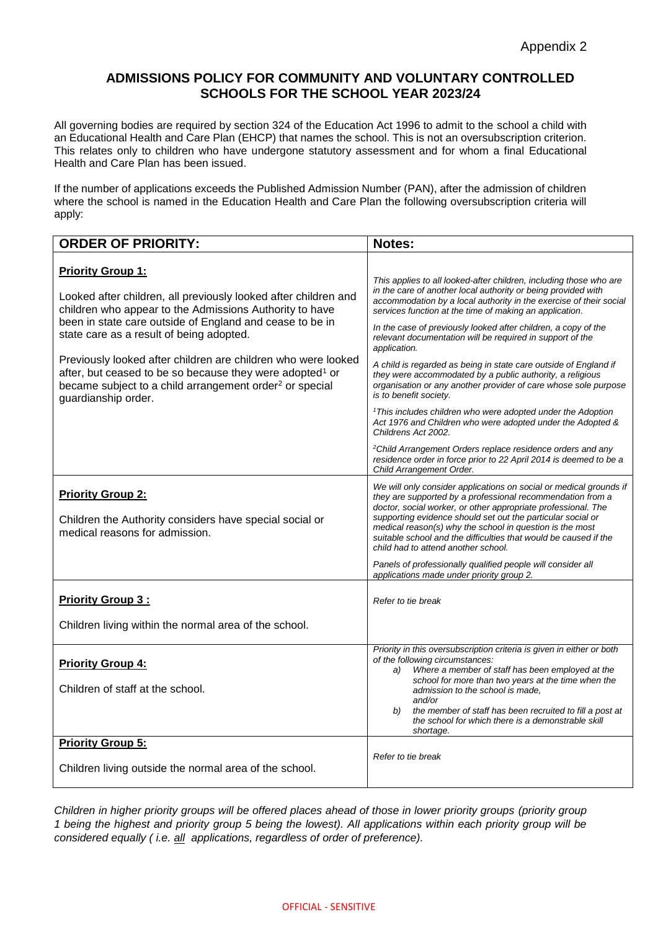## **ADMISSIONS POLICY FOR COMMUNITY AND VOLUNTARY CONTROLLED SCHOOLS FOR THE SCHOOL YEAR 2023/24**

All governing bodies are required by section 324 of the Education Act 1996 to admit to the school a child with an Educational Health and Care Plan (EHCP) that names the school. This is not an oversubscription criterion. This relates only to children who have undergone statutory assessment and for whom a final Educational Health and Care Plan has been issued.

If the number of applications exceeds the Published Admission Number (PAN), after the admission of children where the school is named in the Education Health and Care Plan the following oversubscription criteria will apply:

| <b>ORDER OF PRIORITY:</b>                                                                                                                                                                                                                                                                                                                                                                                                                                                                             | Notes:                                                                                                                                                                                                                                                                                                                                                                                                                                                                                                                                                                                                                                            |
|-------------------------------------------------------------------------------------------------------------------------------------------------------------------------------------------------------------------------------------------------------------------------------------------------------------------------------------------------------------------------------------------------------------------------------------------------------------------------------------------------------|---------------------------------------------------------------------------------------------------------------------------------------------------------------------------------------------------------------------------------------------------------------------------------------------------------------------------------------------------------------------------------------------------------------------------------------------------------------------------------------------------------------------------------------------------------------------------------------------------------------------------------------------------|
| <b>Priority Group 1:</b><br>Looked after children, all previously looked after children and<br>children who appear to the Admissions Authority to have<br>been in state care outside of England and cease to be in<br>state care as a result of being adopted.<br>Previously looked after children are children who were looked<br>after, but ceased to be so because they were adopted <sup>1</sup> or<br>became subject to a child arrangement order <sup>2</sup> or special<br>guardianship order. | This applies to all looked-after children, including those who are<br>in the care of another local authority or being provided with<br>accommodation by a local authority in the exercise of their social<br>services function at the time of making an application.<br>In the case of previously looked after children, a copy of the<br>relevant documentation will be required in support of the<br>application.<br>A child is regarded as being in state care outside of England if<br>they were accommodated by a public authority, a religious<br>organisation or any another provider of care whose sole purpose<br>is to benefit society. |
|                                                                                                                                                                                                                                                                                                                                                                                                                                                                                                       | <sup>1</sup> This includes children who were adopted under the Adoption<br>Act 1976 and Children who were adopted under the Adopted &<br>Childrens Act 2002.<br><sup>2</sup> Child Arrangement Orders replace residence orders and any                                                                                                                                                                                                                                                                                                                                                                                                            |
|                                                                                                                                                                                                                                                                                                                                                                                                                                                                                                       | residence order in force prior to 22 April 2014 is deemed to be a<br>Child Arrangement Order.                                                                                                                                                                                                                                                                                                                                                                                                                                                                                                                                                     |
| <b>Priority Group 2:</b><br>Children the Authority considers have special social or<br>medical reasons for admission.                                                                                                                                                                                                                                                                                                                                                                                 | We will only consider applications on social or medical grounds if<br>they are supported by a professional recommendation from a<br>doctor, social worker, or other appropriate professional. The<br>supporting evidence should set out the particular social or<br>medical reason(s) why the school in question is the most<br>suitable school and the difficulties that would be caused if the<br>child had to attend another school.                                                                                                                                                                                                           |
|                                                                                                                                                                                                                                                                                                                                                                                                                                                                                                       | Panels of professionally qualified people will consider all<br>applications made under priority group 2.                                                                                                                                                                                                                                                                                                                                                                                                                                                                                                                                          |
| <b>Priority Group 3:</b>                                                                                                                                                                                                                                                                                                                                                                                                                                                                              | Refer to tie break                                                                                                                                                                                                                                                                                                                                                                                                                                                                                                                                                                                                                                |
| Children living within the normal area of the school.                                                                                                                                                                                                                                                                                                                                                                                                                                                 |                                                                                                                                                                                                                                                                                                                                                                                                                                                                                                                                                                                                                                                   |
| <b>Priority Group 4:</b><br>Children of staff at the school.                                                                                                                                                                                                                                                                                                                                                                                                                                          | Priority in this oversubscription criteria is given in either or both<br>of the following circumstances:<br>Where a member of staff has been employed at the<br>a)<br>school for more than two years at the time when the<br>admission to the school is made.<br>and/or<br>the member of staff has been recruited to fill a post at<br>b)<br>the school for which there is a demonstrable skill<br>shortage.                                                                                                                                                                                                                                      |
| <b>Priority Group 5:</b><br>Children living outside the normal area of the school.                                                                                                                                                                                                                                                                                                                                                                                                                    | Refer to tie break                                                                                                                                                                                                                                                                                                                                                                                                                                                                                                                                                                                                                                |

*Children in higher priority groups will be offered places ahead of those in lower priority groups (priority group 1 being the highest and priority group 5 being the lowest). All applications within each priority group will be considered equally ( i.e. all applications, regardless of order of preference).*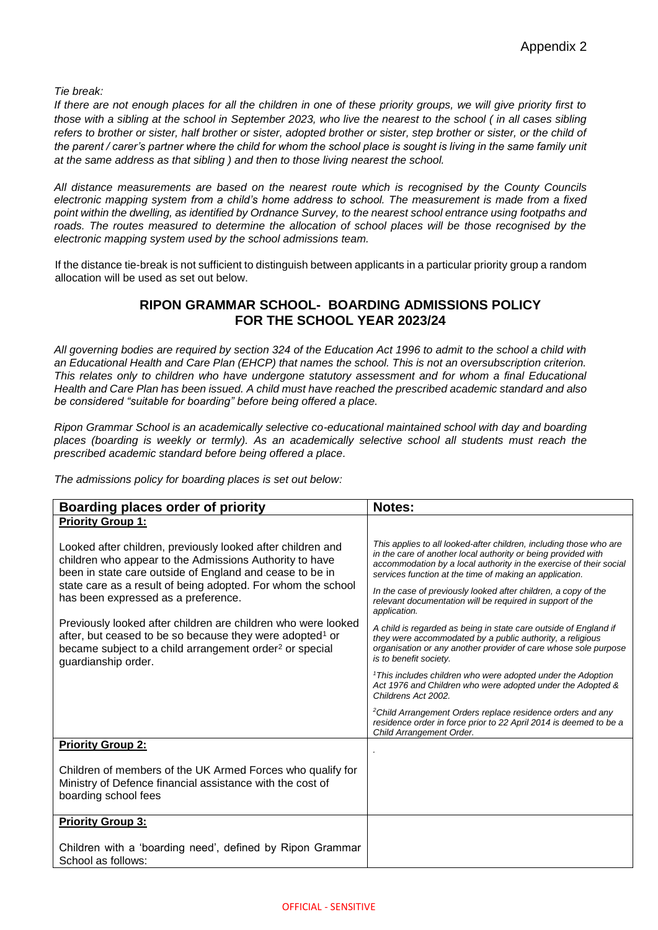*Tie break:*

*If there are not enough places for all the children in one of these priority groups, we will give priority first to those with a sibling at the school in September 2023, who live the nearest to the school ( in all cases sibling refers to brother or sister, half brother or sister, adopted brother or sister, step brother or sister, or the child of*  the parent / carer's partner where the child for whom the school place is sought is living in the same family unit *at the same address as that sibling ) and then to those living nearest the school.*

*All distance measurements are based on the nearest route which is recognised by the County Councils electronic mapping system from a child's home address to school. The measurement is made from a fixed point within the dwelling, as identified by Ordnance Survey, to the nearest school entrance using footpaths and*  roads. The routes measured to determine the allocation of school places will be those recognised by the *electronic mapping system used by the school admissions team.*

If the distance tie-break is not sufficient to distinguish between applicants in a particular priority group a random allocation will be used as set out below.

# **RIPON GRAMMAR SCHOOL- BOARDING ADMISSIONS POLICY FOR THE SCHOOL YEAR 2023/24**

*All governing bodies are required by section 324 of the Education Act 1996 to admit to the school a child with an Educational Health and Care Plan (EHCP) that names the school. This is not an oversubscription criterion. This relates only to children who have undergone statutory assessment and for whom a final Educational Health and Care Plan has been issued. A child must have reached the prescribed academic standard and also be considered "suitable for boarding" before being offered a place.* 

*Ripon Grammar School is an academically selective co-educational maintained school with day and boarding places (boarding is weekly or termly). As an academically selective school all students must reach the prescribed academic standard before being offered a place.* 

*The admissions policy for boarding places is set out below:*

| Boarding places order of priority                                                                                                                                                                                                                                                         | <b>Notes:</b>                                                                                                                                                                                                                                                        |
|-------------------------------------------------------------------------------------------------------------------------------------------------------------------------------------------------------------------------------------------------------------------------------------------|----------------------------------------------------------------------------------------------------------------------------------------------------------------------------------------------------------------------------------------------------------------------|
| <b>Priority Group 1:</b>                                                                                                                                                                                                                                                                  |                                                                                                                                                                                                                                                                      |
| Looked after children, previously looked after children and<br>children who appear to the Admissions Authority to have<br>been in state care outside of England and cease to be in<br>state care as a result of being adopted. For whom the school<br>has been expressed as a preference. | This applies to all looked-after children, including those who are<br>in the care of another local authority or being provided with<br>accommodation by a local authority in the exercise of their social<br>services function at the time of making an application. |
|                                                                                                                                                                                                                                                                                           | In the case of previously looked after children, a copy of the<br>relevant documentation will be required in support of the<br>application.                                                                                                                          |
| Previously looked after children are children who were looked<br>after, but ceased to be so because they were adopted <sup>1</sup> or<br>became subject to a child arrangement order <sup>2</sup> or special<br>guardianship order.                                                       | A child is regarded as being in state care outside of England if<br>they were accommodated by a public authority, a religious<br>organisation or any another provider of care whose sole purpose<br>is to benefit society.                                           |
|                                                                                                                                                                                                                                                                                           | <sup>1</sup> This includes children who were adopted under the Adoption<br>Act 1976 and Children who were adopted under the Adopted &<br>Childrens Act 2002.                                                                                                         |
|                                                                                                                                                                                                                                                                                           | <sup>2</sup> Child Arrangement Orders replace residence orders and any<br>residence order in force prior to 22 April 2014 is deemed to be a<br>Child Arrangement Order.                                                                                              |
| <b>Priority Group 2:</b>                                                                                                                                                                                                                                                                  |                                                                                                                                                                                                                                                                      |
| Children of members of the UK Armed Forces who qualify for<br>Ministry of Defence financial assistance with the cost of<br>boarding school fees                                                                                                                                           |                                                                                                                                                                                                                                                                      |
| <b>Priority Group 3:</b>                                                                                                                                                                                                                                                                  |                                                                                                                                                                                                                                                                      |
| Children with a 'boarding need', defined by Ripon Grammar<br>School as follows:                                                                                                                                                                                                           |                                                                                                                                                                                                                                                                      |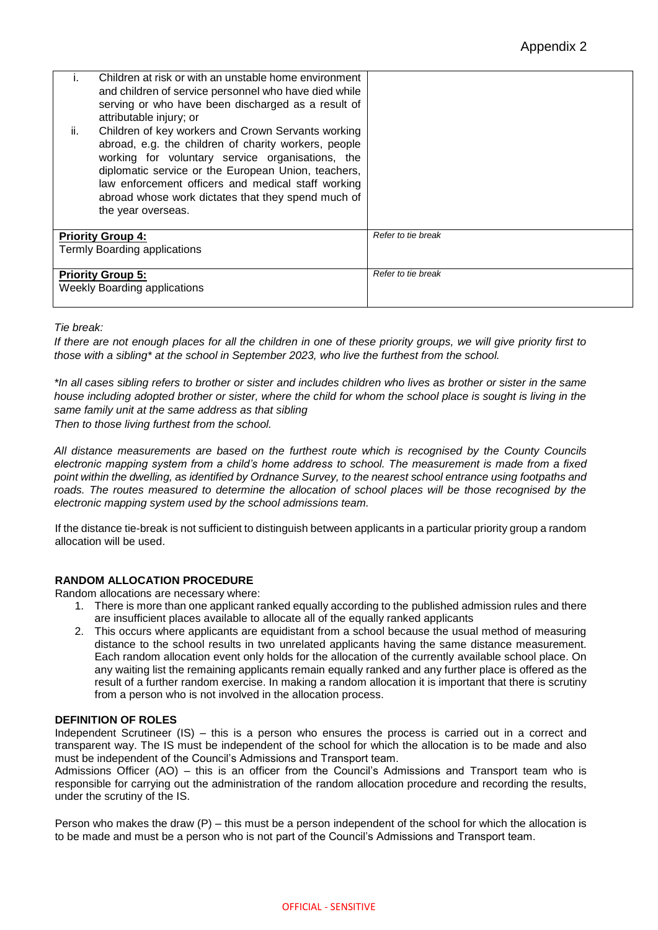|     | Children at risk or with an unstable home environment<br>and children of service personnel who have died while<br>serving or who have been discharged as a result of<br>attributable injury; or                                                                                                                                                         |                    |
|-----|---------------------------------------------------------------------------------------------------------------------------------------------------------------------------------------------------------------------------------------------------------------------------------------------------------------------------------------------------------|--------------------|
| ii. | Children of key workers and Crown Servants working<br>abroad, e.g. the children of charity workers, people<br>working for voluntary service organisations, the<br>diplomatic service or the European Union, teachers,<br>law enforcement officers and medical staff working<br>abroad whose work dictates that they spend much of<br>the year overseas. |                    |
|     | <b>Priority Group 4:</b>                                                                                                                                                                                                                                                                                                                                | Refer to tie break |
|     | Termly Boarding applications                                                                                                                                                                                                                                                                                                                            |                    |
|     | <b>Priority Group 5:</b><br><b>Weekly Boarding applications</b>                                                                                                                                                                                                                                                                                         | Refer to tie break |

### *Tie break:*

*If there are not enough places for all the children in one of these priority groups, we will give priority first to those with a sibling\* at the school in September 2023, who live the furthest from the school.*

*\*In all cases sibling refers to brother or sister and includes children who lives as brother or sister in the same house including adopted brother or sister, where the child for whom the school place is sought is living in the same family unit at the same address as that sibling*

*Then to those living furthest from the school.*

*All distance measurements are based on the furthest route which is recognised by the County Councils electronic mapping system from a child's home address to school. The measurement is made from a fixed point within the dwelling, as identified by Ordnance Survey, to the nearest school entrance using footpaths and*  roads. The routes measured to determine the allocation of school places will be those recognised by the *electronic mapping system used by the school admissions team.*

If the distance tie-break is not sufficient to distinguish between applicants in a particular priority group a random allocation will be used.

### **RANDOM ALLOCATION PROCEDURE**

Random allocations are necessary where:

- 1. There is more than one applicant ranked equally according to the published admission rules and there are insufficient places available to allocate all of the equally ranked applicants
- 2. This occurs where applicants are equidistant from a school because the usual method of measuring distance to the school results in two unrelated applicants having the same distance measurement. Each random allocation event only holds for the allocation of the currently available school place. On any waiting list the remaining applicants remain equally ranked and any further place is offered as the result of a further random exercise. In making a random allocation it is important that there is scrutiny from a person who is not involved in the allocation process.

### **DEFINITION OF ROLES**

Independent Scrutineer (IS) – this is a person who ensures the process is carried out in a correct and transparent way. The IS must be independent of the school for which the allocation is to be made and also must be independent of the Council's Admissions and Transport team.

Admissions Officer (AO) – this is an officer from the Council's Admissions and Transport team who is responsible for carrying out the administration of the random allocation procedure and recording the results, under the scrutiny of the IS.

Person who makes the draw  $(P)$  – this must be a person independent of the school for which the allocation is to be made and must be a person who is not part of the Council's Admissions and Transport team.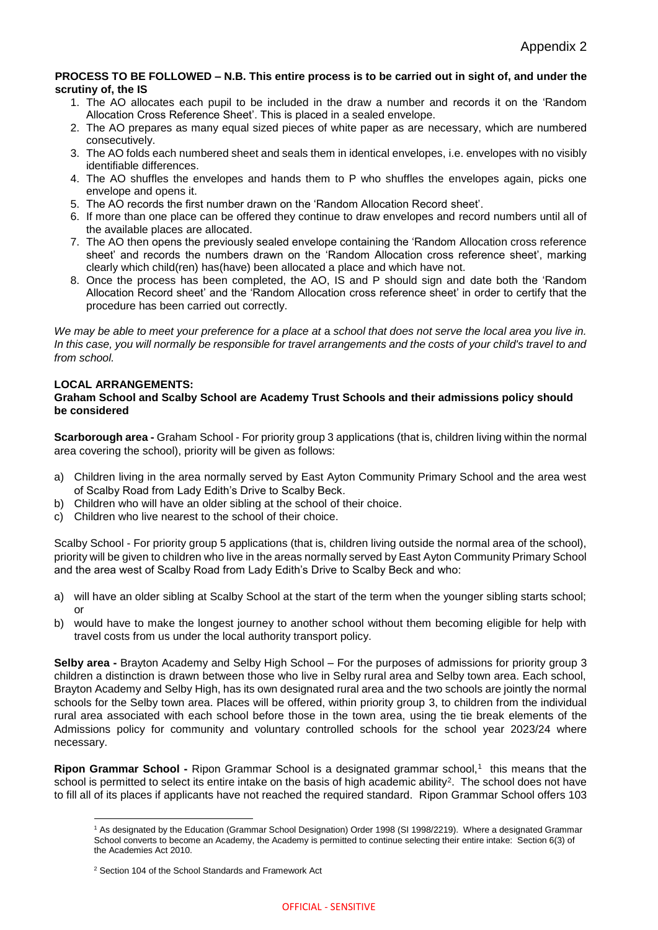#### **PROCESS TO BE FOLLOWED – N.B. This entire process is to be carried out in sight of, and under the scrutiny of, the IS**

- 1. The AO allocates each pupil to be included in the draw a number and records it on the 'Random Allocation Cross Reference Sheet'. This is placed in a sealed envelope.
- 2. The AO prepares as many equal sized pieces of white paper as are necessary, which are numbered consecutively.
- 3. The AO folds each numbered sheet and seals them in identical envelopes, i.e. envelopes with no visibly identifiable differences.
- 4. The AO shuffles the envelopes and hands them to P who shuffles the envelopes again, picks one envelope and opens it.
- 5. The AO records the first number drawn on the 'Random Allocation Record sheet'.
- 6. If more than one place can be offered they continue to draw envelopes and record numbers until all of the available places are allocated.
- 7. The AO then opens the previously sealed envelope containing the 'Random Allocation cross reference sheet' and records the numbers drawn on the 'Random Allocation cross reference sheet', marking clearly which child(ren) has(have) been allocated a place and which have not.
- 8. Once the process has been completed, the AO, IS and P should sign and date both the 'Random Allocation Record sheet' and the 'Random Allocation cross reference sheet' in order to certify that the procedure has been carried out correctly.

We may be able to meet your preference for a place at a school that does not serve the local area you live in. In this case, you will normally be responsible for travel arrangements and the costs of your child's travel to and *from school.*

## **LOCAL ARRANGEMENTS:**

### **Graham School and Scalby School are Academy Trust Schools and their admissions policy should be considered**

**Scarborough area -** Graham School - For priority group 3 applications (that is, children living within the normal area covering the school), priority will be given as follows:

- a) Children living in the area normally served by East Ayton Community Primary School and the area west of Scalby Road from Lady Edith's Drive to Scalby Beck.
- b) Children who will have an older sibling at the school of their choice.
- c) Children who live nearest to the school of their choice.

Scalby School - For priority group 5 applications (that is, children living outside the normal area of the school), priority will be given to children who live in the areas normally served by East Ayton Community Primary School and the area west of Scalby Road from Lady Edith's Drive to Scalby Beck and who:

- a) will have an older sibling at Scalby School at the start of the term when the younger sibling starts school; or
- b) would have to make the longest journey to another school without them becoming eligible for help with travel costs from us under the local authority transport policy.

**Selby area -** Brayton Academy and Selby High School – For the purposes of admissions for priority group 3 children a distinction is drawn between those who live in Selby rural area and Selby town area. Each school, Brayton Academy and Selby High, has its own designated rural area and the two schools are jointly the normal schools for the Selby town area. Places will be offered, within priority group 3, to children from the individual rural area associated with each school before those in the town area, using the tie break elements of the Admissions policy for community and voluntary controlled schools for the school year 2023/24 where necessary.

**Ripon Grammar School -** Ripon Grammar School is a designated grammar school,<sup>1</sup> this means that the school is permitted to select its entire intake on the basis of high academic ability<sup>2</sup>. The school does not have to fill all of its places if applicants have not reached the required standard. Ripon Grammar School offers 103

<sup>1</sup> <sup>1</sup> As designated by the Education (Grammar School Designation) Order 1998 (SI 1998/2219). Where a designated Grammar School converts to become an Academy, the Academy is permitted to continue selecting their entire intake: Section 6(3) of the Academies Act 2010.

<sup>2</sup> Section 104 of the School Standards and Framework Act